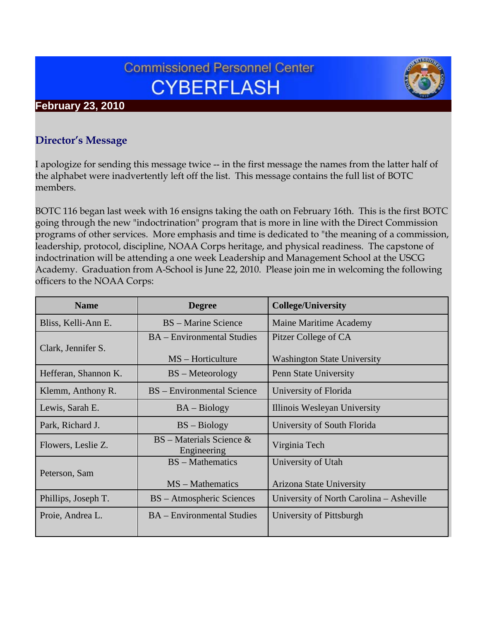# **Commissioned Personnel Center CYBERFLASH**

# **February 23, 2010**

## **Director's Message**

I apologize for sending this message twice -- in the first message the names from the latter half of the alphabet were inadvertently left off the list. This message contains the full list of BOTC members.

BOTC 116 began last week with 16 ensigns taking the oath on February 16th. This is the first BOTC going through the new "indoctrination" program that is more in line with the Direct Commission programs of other services. More emphasis and time is dedicated to "the meaning of a commission, leadership, protocol, discipline, NOAA Corps heritage, and physical readiness. The capstone of indoctrination will be attending a one week Leadership and Management School at the USCG Academy. Graduation from A-School is June 22, 2010. Please join me in welcoming the following officers to the NOAA Corps:

| <b>Name</b>          | <b>Degree</b>                             | <b>College/University</b>                |
|----------------------|-------------------------------------------|------------------------------------------|
| Bliss, Kelli-Ann E.  | <b>BS</b> – Marine Science                | <b>Maine Maritime Academy</b>            |
| Clark, Jennifer S.   | <b>BA</b> – Environmental Studies         | Pitzer College of CA                     |
|                      | MS – Horticulture                         | <b>Washington State University</b>       |
| Hefferan, Shannon K. | BS – Meteorology                          | Penn State University                    |
| Klemm, Anthony R.    | BS – Environmental Science                | University of Florida                    |
| Lewis, Sarah E.      | $BA - Biology$                            | Illinois Wesleyan University             |
| Park, Richard J.     | $BS - Biology$                            | University of South Florida              |
| Flowers, Leslie Z.   | $BS - Materials Science$ &<br>Engineering | Virginia Tech                            |
| Peterson, Sam        | <b>BS</b> – Mathematics                   | University of Utah                       |
|                      | $MS - Mathematics$                        | <b>Arizona State University</b>          |
| Phillips, Joseph T.  | BS – Atmospheric Sciences                 | University of North Carolina – Asheville |
| Proie, Andrea L.     | <b>BA</b> – Environmental Studies         | University of Pittsburgh                 |
|                      |                                           |                                          |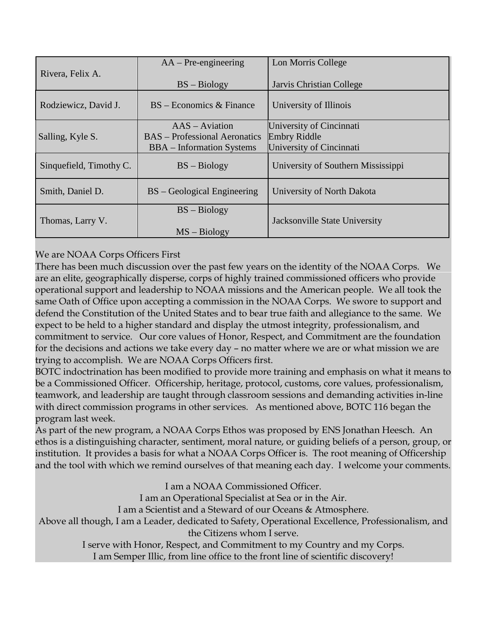|                         | $AA - Pre\text{-}engineering$        | Lon Morris College                 |
|-------------------------|--------------------------------------|------------------------------------|
| Rivera, Felix A.        | $BS - Biology$                       | Jarvis Christian College           |
| Rodziewicz, David J.    | $BS - Economics & Finance$           | University of Illinois             |
|                         | $AAS - Aviation$                     | University of Cincinnati           |
| Salling, Kyle S.        | <b>BAS</b> – Professional Aeronatics | <b>Embry Riddle</b>                |
|                         | <b>BBA</b> – Information Systems     | University of Cincinnati           |
| Sinquefield, Timothy C. | $BS - Biology$                       | University of Southern Mississippi |
| Smith, Daniel D.        | $BS - Geological Engineering$        | University of North Dakota         |
|                         | $BS - Biology$                       |                                    |
| Thomas, Larry V.        |                                      | Jacksonville State University      |
|                         | $MS - Biology$                       |                                    |

#### We are NOAA Corps Officers First

There has been much discussion over the past few years on the identity of the NOAA Corps. We are an elite, geographically disperse, corps of highly trained commissioned officers who provide operational support and leadership to NOAA missions and the American people. We all took the same Oath of Office upon accepting a commission in the NOAA Corps. We swore to support and defend the Constitution of the United States and to bear true faith and allegiance to the same. We expect to be held to a higher standard and display the utmost integrity, professionalism, and commitment to service. Our core values of Honor, Respect, and Commitment are the foundation for the decisions and actions we take every day – no matter where we are or what mission we are trying to accomplish. We are NOAA Corps Officers first.

BOTC indoctrination has been modified to provide more training and emphasis on what it means to be a Commissioned Officer. Officership, heritage, protocol, customs, core values, professionalism, teamwork, and leadership are taught through classroom sessions and demanding activities in-line with direct commission programs in other services. As mentioned above, BOTC 116 began the program last week.

As part of the new program, a NOAA Corps Ethos was proposed by ENS Jonathan Heesch. An ethos is a distinguishing character, sentiment, moral nature, or guiding beliefs of a person, group, or institution. It provides a basis for what a NOAA Corps Officer is. The root meaning of Officership and the tool with which we remind ourselves of that meaning each day. I welcome your comments.

I am a NOAA Commissioned Officer.

I am an Operational Specialist at Sea or in the Air.

I am a Scientist and a Steward of our Oceans & Atmosphere.

Above all though, I am a Leader, dedicated to Safety, Operational Excellence, Professionalism, and the Citizens whom I serve.

> I serve with Honor, Respect, and Commitment to my Country and my Corps. I am Semper Illic, from line office to the front line of scientific discovery!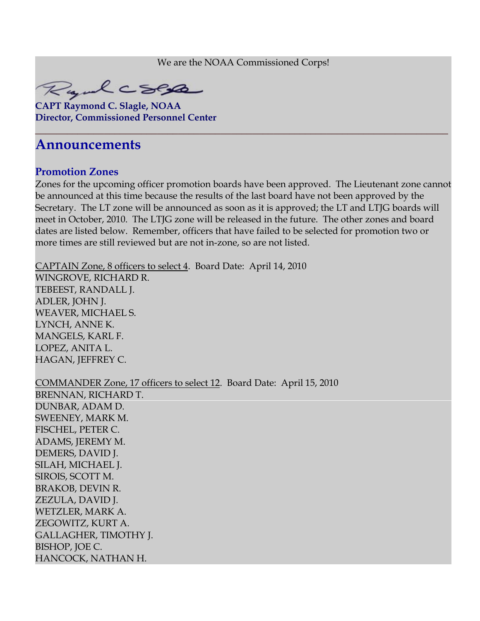We are the NOAA Commissioned Corps!

**\_\_\_\_\_\_\_\_\_\_\_\_\_\_\_\_\_\_\_\_\_\_\_\_\_\_\_\_\_\_\_\_\_\_\_\_\_\_\_\_\_\_\_\_\_\_\_\_\_\_\_\_\_\_\_\_\_\_\_\_\_\_\_\_\_\_\_\_\_\_\_\_\_\_\_\_\_\_**



**CAPT Raymond C. Slagle, NOAA Director, Commissioned Personnel Center**

# **Announcements**

#### **Promotion Zones**

Zones for the upcoming officer promotion boards have been approved. The Lieutenant zone cannot be announced at this time because the results of the last board have not been approved by the Secretary. The LT zone will be announced as soon as it is approved; the LT and LTJG boards will meet in October, 2010. The LTJG zone will be released in the future. The other zones and board dates are listed below. Remember, officers that have failed to be selected for promotion two or more times are still reviewed but are not in-zone, so are not listed.

CAPTAIN Zone, 8 officers to select 4. Board Date: April 14, 2010

WINGROVE, RICHARD R. TEBEEST, RANDALL J. ADLER, JOHN J. WEAVER, MICHAEL S. LYNCH, ANNE K. MANGELS, KARL F. LOPEZ, ANITA L. HAGAN, JEFFREY C.

COMMANDER Zone, 17 officers to select 12. Board Date: April 15, 2010 BRENNAN, RICHARD T. DUNBAR, ADAM D. SWEENEY, MARK M. FISCHEL, PETER C. ADAMS, JEREMY M. DEMERS, DAVID J. SILAH, MICHAEL J. SIROIS, SCOTT M. BRAKOB, DEVIN R. ZEZULA, DAVID J. WETZLER, MARK A. ZEGOWITZ, KURT A. GALLAGHER, TIMOTHY J. BISHOP, JOE C. HANCOCK, NATHAN H.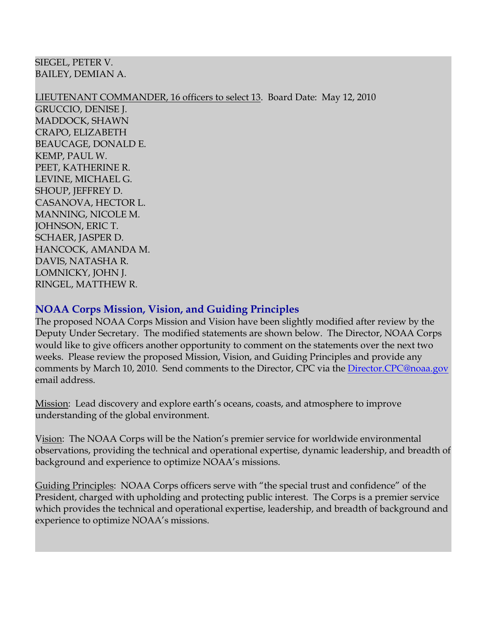SIEGEL, PETER V. BAILEY, DEMIAN A.

LIEUTENANT COMMANDER, 16 officers to select 13. Board Date: May 12, 2010

GRUCCIO, DENISE J. MADDOCK, SHAWN CRAPO, ELIZABETH BEAUCAGE, DONALD E. KEMP, PAUL W. PEET, KATHERINE R. LEVINE, MICHAEL G. SHOUP, JEFFREY D. CASANOVA, HECTOR L. MANNING, NICOLE M. JOHNSON, ERIC T. SCHAER, JASPER D. HANCOCK, AMANDA M. DAVIS, NATASHA R. LOMNICKY, JOHN J. RINGEL, MATTHEW R.

#### **NOAA Corps Mission, Vision, and Guiding Principles**

The proposed NOAA Corps Mission and Vision have been slightly modified after review by the Deputy Under Secretary. The modified statements are shown below. The Director, NOAA Corps would like to give officers another opportunity to comment on the statements over the next two weeks. Please review the proposed Mission, Vision, and Guiding Principles and provide any comments by March 10, 2010. Send comments to the Director, CPC via the [Director.CPC@noaa.gov](mailto:Director.CPC@noaa.gov) email address.

<u>Mission</u>: Lead discovery and explore earth's oceans, coasts, and atmosphere to improve understanding of the global environment.

Vision: The NOAA Corps will be the Nation's premier service for worldwide environmental observations, providing the technical and operational expertise, dynamic leadership, and breadth of background and experience to optimize NOAA's missions.

Guiding Principles: NOAA Corps officers serve with "the special trust and confidence" of the President, charged with upholding and protecting public interest. The Corps is a premier service which provides the technical and operational expertise, leadership, and breadth of background and experience to optimize NOAA's missions.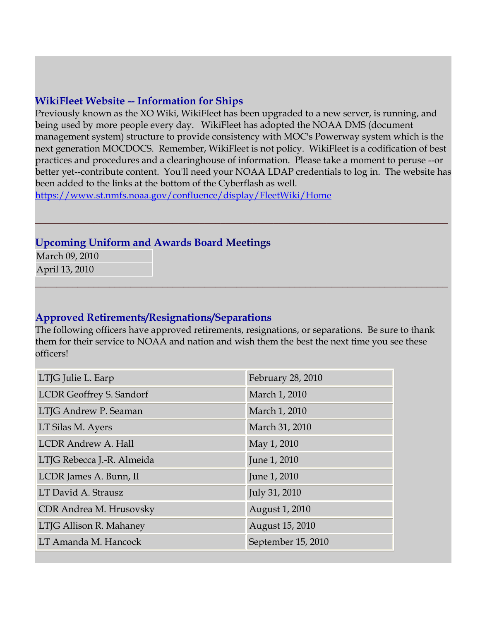#### **WikiFleet Website -- Information for Ships**

Previously known as the XO Wiki, WikiFleet has been upgraded to a new server, is running, and being used by more people every day. WikiFleet has adopted the NOAA DMS (document management system) structure to provide consistency with MOC's Powerway system which is the next generation MOCDOCS. Remember, WikiFleet is not policy. WikiFleet is a codification of best practices and procedures and a clearinghouse of information. Please take a moment to peruse --or better yet--contribute content. You'll need your NOAA LDAP credentials to log in. The website has been added to the links at the bottom of the Cyberflash as well.

**\_\_\_\_\_\_\_\_\_\_\_\_\_\_\_\_\_\_\_\_\_\_\_\_\_\_\_\_\_\_\_\_\_\_\_\_\_\_\_\_\_\_\_\_\_\_\_\_\_\_\_\_\_\_\_\_\_\_\_\_\_\_\_\_\_\_\_\_\_\_\_\_\_\_\_\_\_\_**

**\_\_\_\_\_\_\_\_\_\_\_\_\_\_\_\_\_\_\_\_\_\_\_\_\_\_\_\_\_\_\_\_\_\_\_\_\_\_\_\_\_\_\_\_\_\_\_\_\_\_\_\_\_\_\_\_\_\_\_\_\_\_\_\_\_\_\_\_\_\_\_\_\_\_\_\_\_\_**

<https://www.st.nmfs.noaa.gov/confluence/display/FleetWiki/Home>

#### **Upcoming Uniform and Awards Board Meetings**

March 09, 2010 April 13, 2010

#### **Approved Retirements/Resignations/Separations**

The following officers have approved retirements, resignations, or separations. Be sure to thank them for their service to NOAA and nation and wish them the best the next time you see these officers!

| LTJG Julie L. Earp              | February 28, 2010  |
|---------------------------------|--------------------|
| <b>LCDR Geoffrey S. Sandorf</b> | March 1, 2010      |
| LTJG Andrew P. Seaman           | March 1, 2010      |
| LT Silas M. Ayers               | March 31, 2010     |
| <b>LCDR Andrew A. Hall</b>      | May 1, 2010        |
| LTJG Rebecca J.-R. Almeida      | June 1, 2010       |
| LCDR James A. Bunn, II          | June 1, 2010       |
| LT David A. Strausz             | July 31, 2010      |
| CDR Andrea M. Hrusovsky         | August 1, 2010     |
| LTJG Allison R. Mahaney         | August 15, 2010    |
| LT Amanda M. Hancock            | September 15, 2010 |